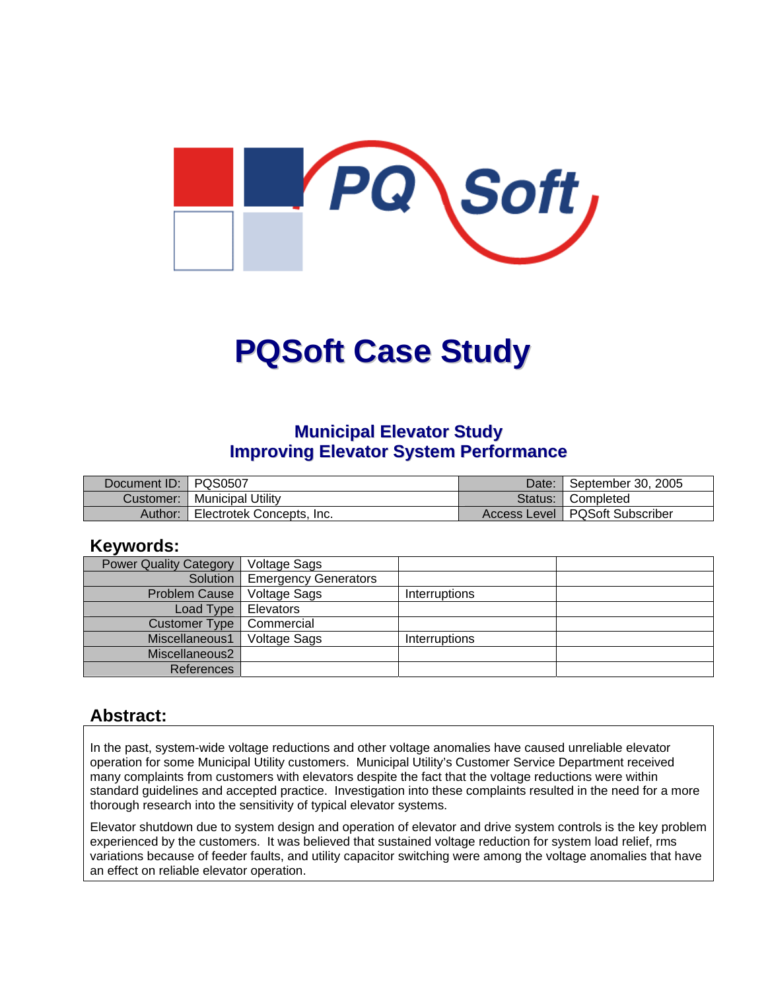

# **PQSoft Case Study**

## **Municipal Elevator Study Improving Elevator System Performance**

| Document ID:   PQS0507 |                           | Date: | September 30, 2005               |
|------------------------|---------------------------|-------|----------------------------------|
| Customer:              | <b>Municipal Utility</b>  |       | Status: Completed                |
| Author:                | Electrotek Concepts, Inc. |       | Access Level   PQSoft Subscriber |

#### **Keywords:**

| <b>Power Quality Category</b> | Voltage Sags                |               |  |
|-------------------------------|-----------------------------|---------------|--|
| Solution                      | <b>Emergency Generators</b> |               |  |
| <b>Problem Cause</b>          | Voltage Sags                | Interruptions |  |
| Load Type                     | Elevators                   |               |  |
| Customer Type                 | Commercial                  |               |  |
| Miscellaneous1                | <b>Voltage Sags</b>         | Interruptions |  |
| Miscellaneous2                |                             |               |  |
| References                    |                             |               |  |

## **Abstract:**

In the past, system-wide voltage reductions and other voltage anomalies have caused unreliable elevator operation for some Municipal Utility customers. Municipal Utility's Customer Service Department received many complaints from customers with elevators despite the fact that the voltage reductions were within standard guidelines and accepted practice. Investigation into these complaints resulted in the need for a more thorough research into the sensitivity of typical elevator systems.

Elevator shutdown due to system design and operation of elevator and drive system controls is the key problem experienced by the customers. It was believed that sustained voltage reduction for system load relief, rms variations because of feeder faults, and utility capacitor switching were among the voltage anomalies that have an effect on reliable elevator operation.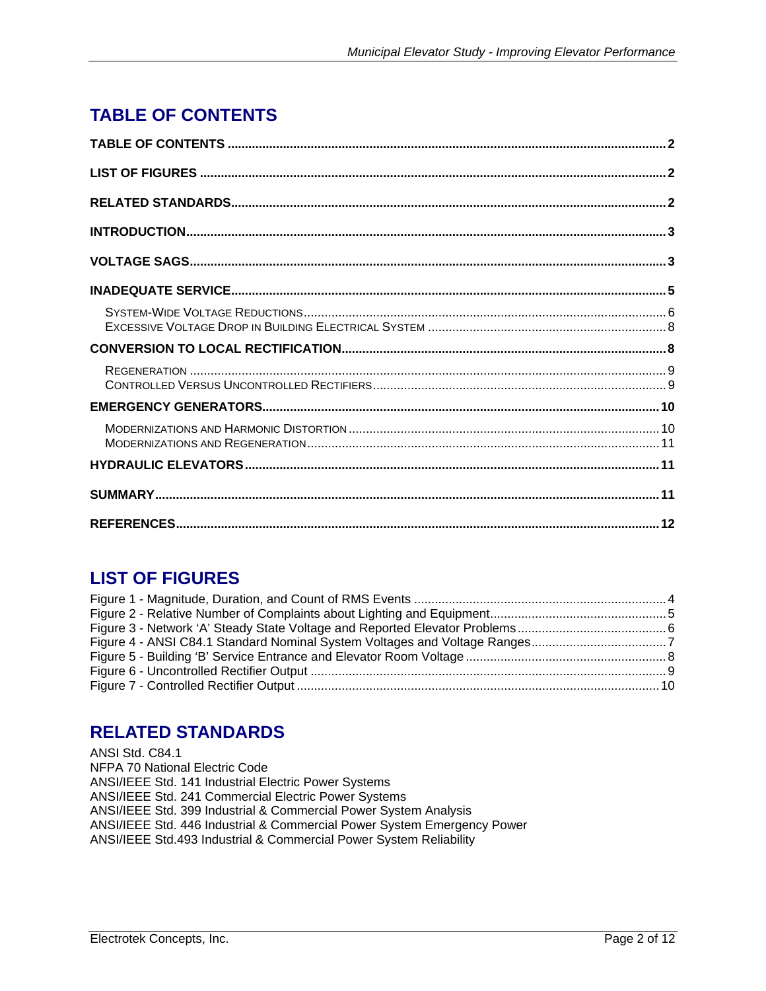# <span id="page-1-0"></span>**TABLE OF CONTENTS**

## **LIST OF FIGURES**

## **RELATED STANDARDS**

ANSI Std. C84.1 NFPA 70 National Electric Code ANSI/IEEE Std. 141 Industrial Electric Power Systems ANSI/IEEE Std. 241 Commercial Electric Power Systems ANSI/IEEE Std. 399 Industrial & Commercial Power System Analysis ANSI/IEEE Std. 446 Industrial & Commercial Power System Emergency Power ANSI/IEEE Std.493 Industrial & Commercial Power System Reliability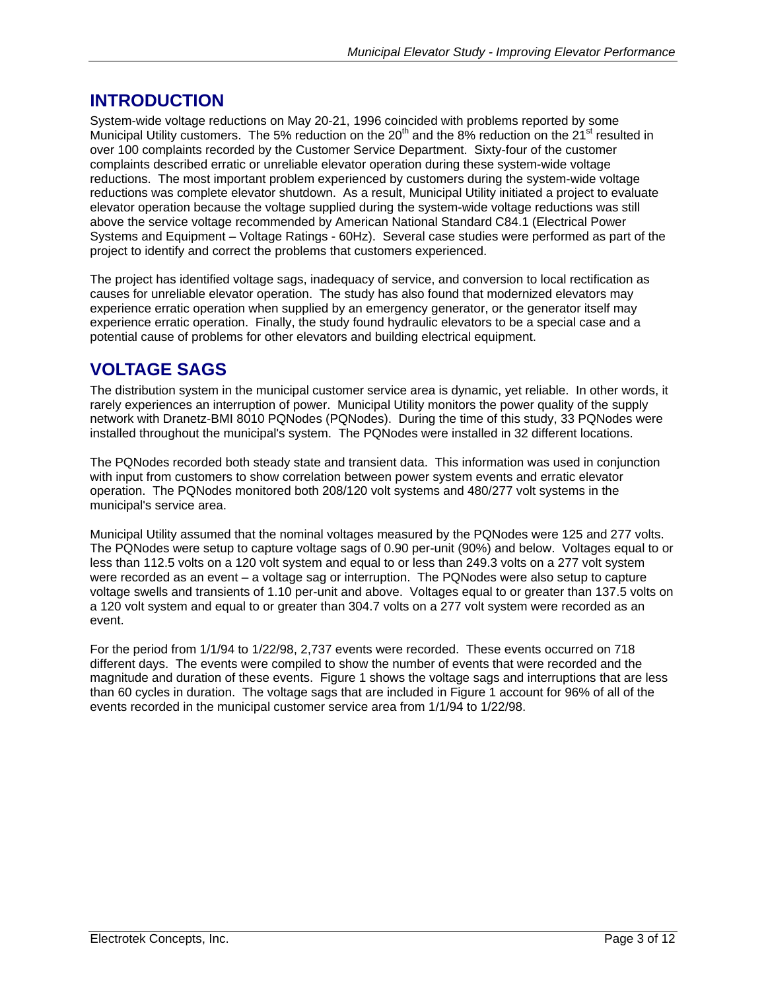## <span id="page-2-0"></span>**INTRODUCTION**

System-wide voltage reductions on May 20-21, 1996 coincided with problems reported by some Municipal Utility customers. The 5% reduction on the 20<sup>th</sup> and the 8% reduction on the 21<sup>st</sup> resulted in over 100 complaints recorded by the Customer Service Department. Sixty-four of the customer complaints described erratic or unreliable elevator operation during these system-wide voltage reductions. The most important problem experienced by customers during the system-wide voltage reductions was complete elevator shutdown. As a result, Municipal Utility initiated a project to evaluate elevator operation because the voltage supplied during the system-wide voltage reductions was still above the service voltage recommended by American National Standard C84.1 (Electrical Power Systems and Equipment – Voltage Ratings - 60Hz). Several case studies were performed as part of the project to identify and correct the problems that customers experienced.

The project has identified voltage sags, inadequacy of service, and conversion to local rectification as causes for unreliable elevator operation. The study has also found that modernized elevators may experience erratic operation when supplied by an emergency generator, or the generator itself may experience erratic operation. Finally, the study found hydraulic elevators to be a special case and a potential cause of problems for other elevators and building electrical equipment.

## **VOLTAGE SAGS**

The distribution system in the municipal customer service area is dynamic, yet reliable. In other words, it rarely experiences an interruption of power. Municipal Utility monitors the power quality of the supply network with Dranetz-BMI 8010 PQNodes (PQNodes). During the time of this study, 33 PQNodes were installed throughout the municipal's system. The PQNodes were installed in 32 different locations.

The PQNodes recorded both steady state and transient data. This information was used in conjunction with input from customers to show correlation between power system events and erratic elevator operation. The PQNodes monitored both 208/120 volt systems and 480/277 volt systems in the municipal's service area.

Municipal Utility assumed that the nominal voltages measured by the PQNodes were 125 and 277 volts. The PQNodes were setup to capture voltage sags of 0.90 per-unit (90%) and below. Voltages equal to or less than 112.5 volts on a 120 volt system and equal to or less than 249.3 volts on a 277 volt system were recorded as an event – a voltage sag or interruption. The PQNodes were also setup to capture voltage swells and transients of 1.10 per-unit and above. Voltages equal to or greater than 137.5 volts on a 120 volt system and equal to or greater than 304.7 volts on a 277 volt system were recorded as an event.

For the period from 1/1/94 to 1/22/98, 2,737 events were recorded. These events occurred on 718 different days. The events were compiled to show the number of events that were recorded and the magnitude and duration of these events. [Figure 1](#page-3-1) shows the voltage sags and interruptions that are less than 60 cycles in duration. The voltage sags that are included in [Figure 1](#page-3-1) account for 96% of all of the events recorded in the municipal customer service area from 1/1/94 to 1/22/98.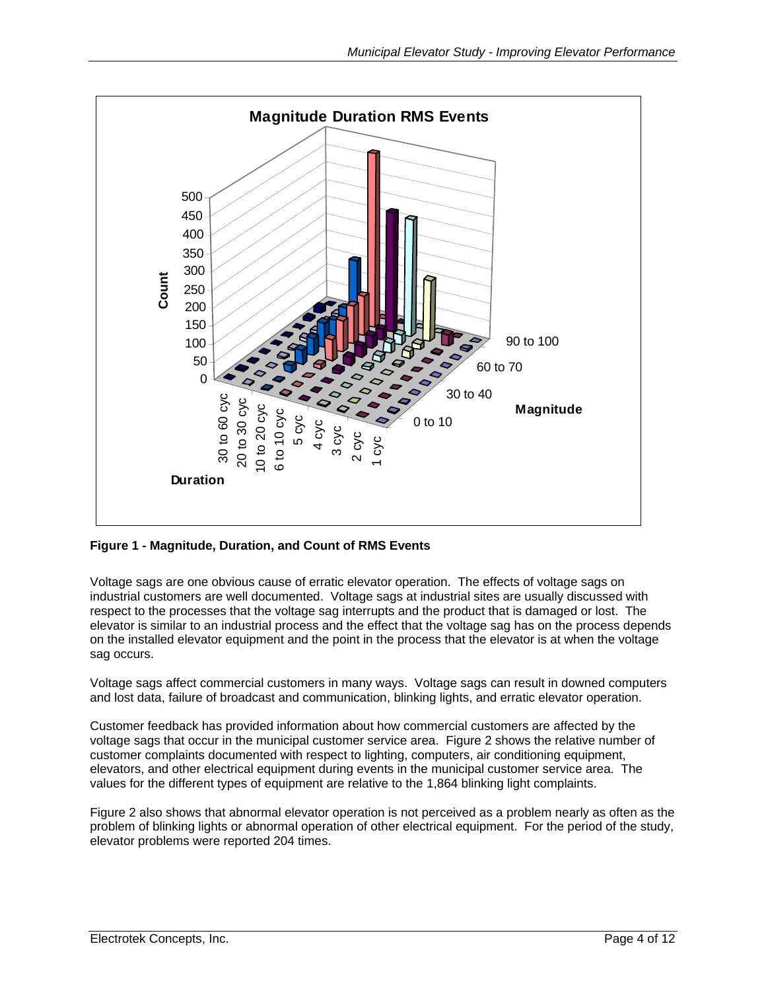<span id="page-3-1"></span><span id="page-3-0"></span>

#### **Figure 1 - Magnitude, Duration, and Count of RMS Events**

Voltage sags are one obvious cause of erratic elevator operation. The effects of voltage sags on industrial customers are well documented. Voltage sags at industrial sites are usually discussed with respect to the processes that the voltage sag interrupts and the product that is damaged or lost. The elevator is similar to an industrial process and the effect that the voltage sag has on the process depends on the installed elevator equipment and the point in the process that the elevator is at when the voltage sag occurs.

Voltage sags affect commercial customers in many ways. Voltage sags can result in downed computers and lost data, failure of broadcast and communication, blinking lights, and erratic elevator operation.

Customer feedback has provided information about how commercial customers are affected by the voltage sags that occur in the municipal customer service area. [Figure 2](#page-4-1) shows the relative number of customer complaints documented with respect to lighting, computers, air conditioning equipment, elevators, and other electrical equipment during events in the municipal customer service area. The values for the different types of equipment are relative to the 1,864 blinking light complaints.

[Figure 2](#page-4-1) also shows that abnormal elevator operation is not perceived as a problem nearly as often as the problem of blinking lights or abnormal operation of other electrical equipment. For the period of the study, elevator problems were reported 204 times.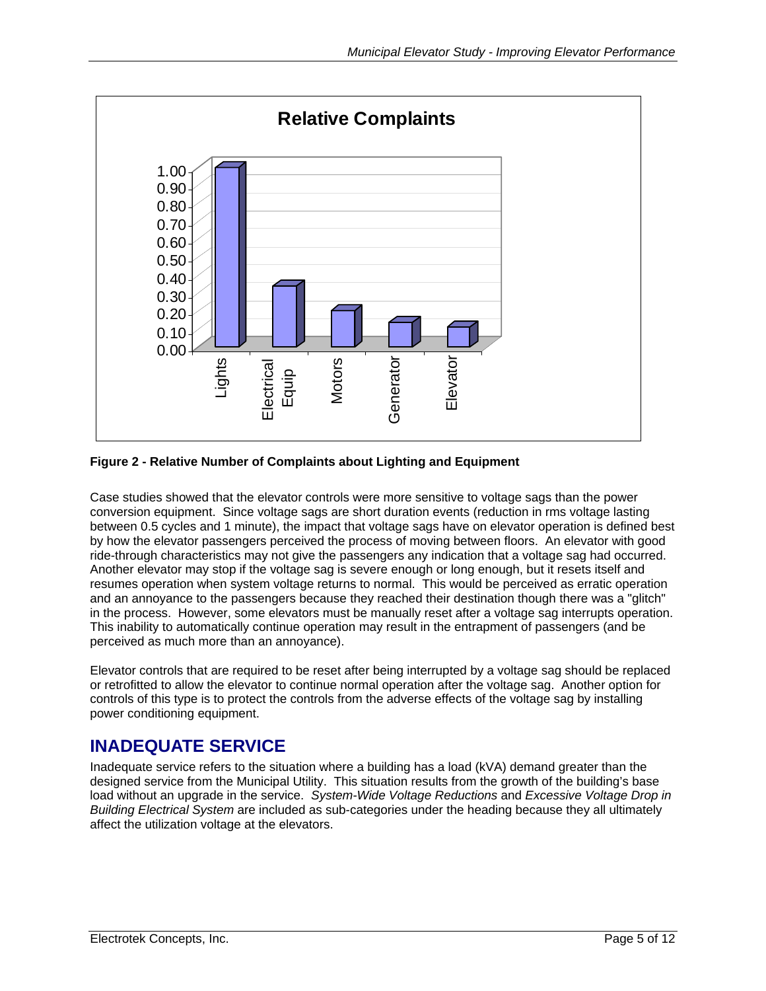<span id="page-4-1"></span><span id="page-4-0"></span>

#### **Figure 2 - Relative Number of Complaints about Lighting and Equipment**

Case studies showed that the elevator controls were more sensitive to voltage sags than the power conversion equipment. Since voltage sags are short duration events (reduction in rms voltage lasting between 0.5 cycles and 1 minute), the impact that voltage sags have on elevator operation is defined best by how the elevator passengers perceived the process of moving between floors. An elevator with good ride-through characteristics may not give the passengers any indication that a voltage sag had occurred. Another elevator may stop if the voltage sag is severe enough or long enough, but it resets itself and resumes operation when system voltage returns to normal. This would be perceived as erratic operation and an annoyance to the passengers because they reached their destination though there was a "glitch" in the process. However, some elevators must be manually reset after a voltage sag interrupts operation. This inability to automatically continue operation may result in the entrapment of passengers (and be perceived as much more than an annoyance).

Elevator controls that are required to be reset after being interrupted by a voltage sag should be replaced or retrofitted to allow the elevator to continue normal operation after the voltage sag. Another option for controls of this type is to protect the controls from the adverse effects of the voltage sag by installing power conditioning equipment.

## **INADEQUATE SERVICE**

Inadequate service refers to the situation where a building has a load (kVA) demand greater than the designed service from the Municipal Utility. This situation results from the growth of the building's base load without an upgrade in the service. *System-Wide Voltage Reductions* and *Excessive Voltage Drop in Building Electrical System* are included as sub-categories under the heading because they all ultimately affect the utilization voltage at the elevators.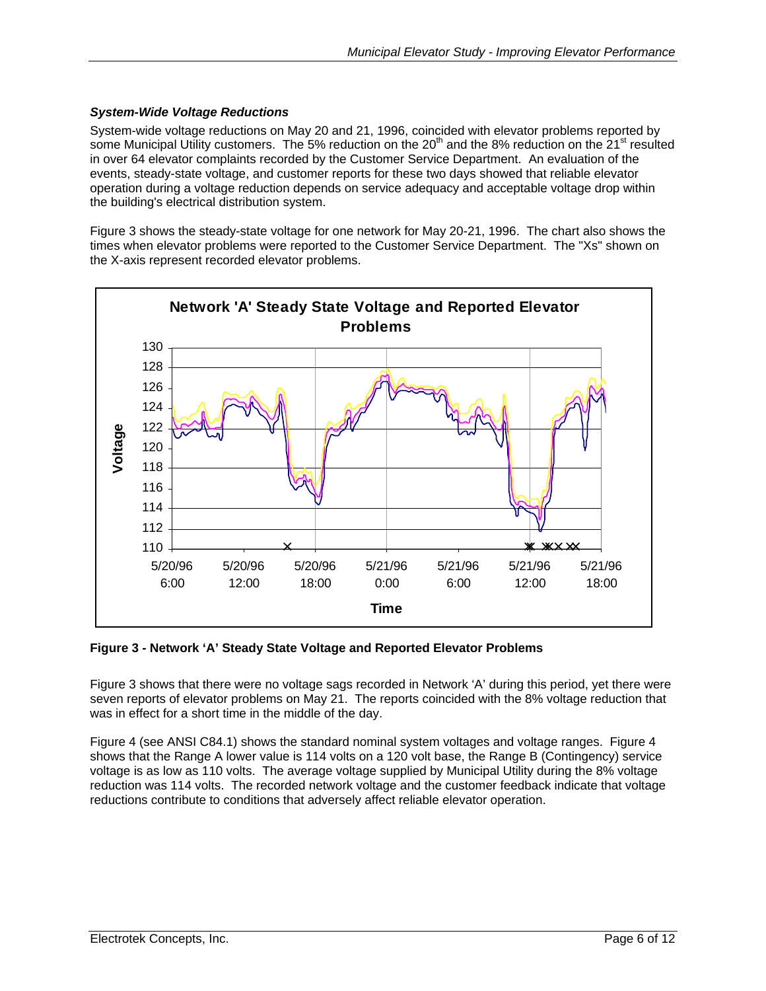#### <span id="page-5-0"></span>*System-Wide Voltage Reductions*

System-wide voltage reductions on May 20 and 21, 1996, coincided with elevator problems reported by some Municipal Utility customers. The 5% reduction on the 20<sup>th</sup> and the 8% reduction on the 21<sup>st</sup> resulted in over 64 elevator complaints recorded by the Customer Service Department. An evaluation of the events, steady-state voltage, and customer reports for these two days showed that reliable elevator operation during a voltage reduction depends on service adequacy and acceptable voltage drop within the building's electrical distribution system.

[Figure 3](#page-5-1) shows the steady-state voltage for one network for May 20-21, 1996. The chart also shows the times when elevator problems were reported to the Customer Service Department. The "Xs" shown on the X-axis represent recorded elevator problems.

<span id="page-5-1"></span>

**Figure 3 - Network 'A' Steady State Voltage and Reported Elevator Problems** 

[Figure 3](#page-5-1) shows that there were no voltage sags recorded in Network 'A' during this period, yet there were seven reports of elevator problems on May 21. The reports coincided with the 8% voltage reduction that was in effect for a short time in the middle of the day.

[Figure 4](#page-6-1) (see ANSI C84.1) shows the standard nominal system voltages and voltage ranges. Figure 4 shows that the Range A lower value is 114 volts on a 120 volt base, the Range B (Contingency) service voltage is as low as 110 volts. The average voltage supplied by Municipal Utility during the 8% voltage reduction was 114 volts. The recorded network voltage and the customer feedback indicate that voltage reductions contribute to conditions that adversely affect reliable elevator operation.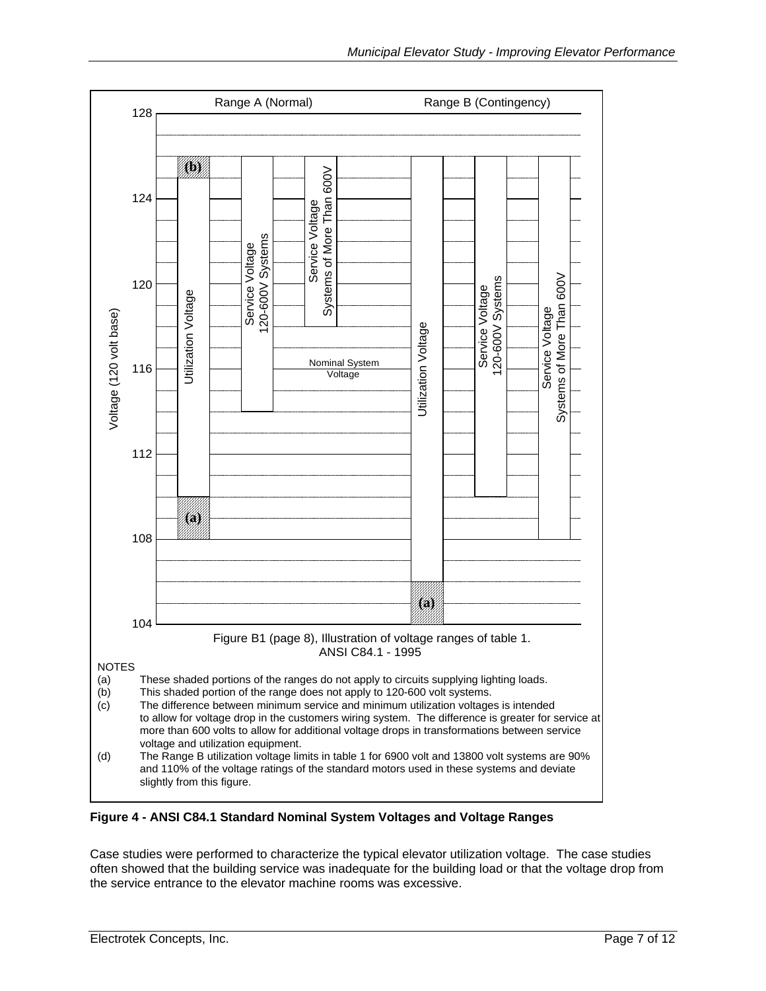<span id="page-6-1"></span><span id="page-6-0"></span>

**Figure 4 - ANSI C84.1 Standard Nominal System Voltages and Voltage Ranges** 

Case studies were performed to characterize the typical elevator utilization voltage. The case studies often showed that the building service was inadequate for the building load or that the voltage drop from the service entrance to the elevator machine rooms was excessive.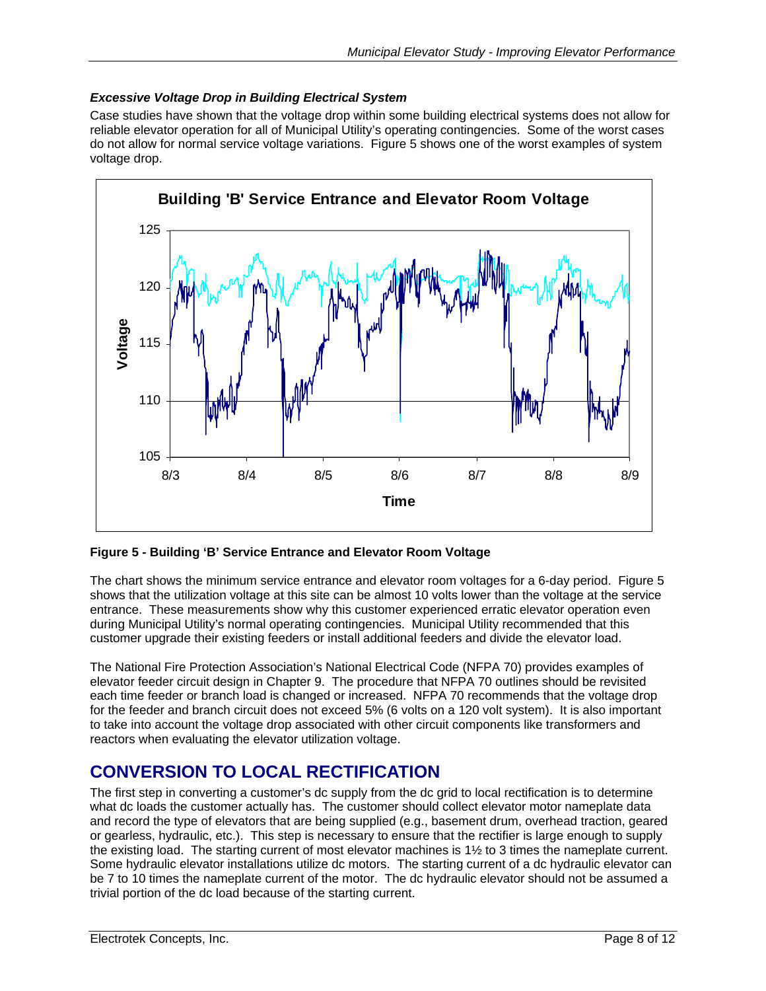#### <span id="page-7-0"></span>*Excessive Voltage Drop in Building Electrical System*

Case studies have shown that the voltage drop within some building electrical systems does not allow for reliable elevator operation for all of Municipal Utility's operating contingencies. Some of the worst cases do not allow for normal service voltage variations. [Figure 5](#page-7-1) shows one of the worst examples of system voltage drop.

<span id="page-7-1"></span>

**Figure 5 - Building 'B' Service Entrance and Elevator Room Voltage** 

The chart shows the minimum service entrance and elevator room voltages for a 6-day period. [Figure 5](#page-7-1)  shows that the utilization voltage at this site can be almost 10 volts lower than the voltage at the service entrance. These measurements show why this customer experienced erratic elevator operation even during Municipal Utility's normal operating contingencies. Municipal Utility recommended that this customer upgrade their existing feeders or install additional feeders and divide the elevator load.

The National Fire Protection Association's National Electrical Code (NFPA 70) provides examples of elevator feeder circuit design in Chapter 9. The procedure that NFPA 70 outlines should be revisited each time feeder or branch load is changed or increased. NFPA 70 recommends that the voltage drop for the feeder and branch circuit does not exceed 5% (6 volts on a 120 volt system). It is also important to take into account the voltage drop associated with other circuit components like transformers and reactors when evaluating the elevator utilization voltage.

# **CONVERSION TO LOCAL RECTIFICATION**

The first step in converting a customer's dc supply from the dc grid to local rectification is to determine what dc loads the customer actually has. The customer should collect elevator motor nameplate data and record the type of elevators that are being supplied (e.g., basement drum, overhead traction, geared or gearless, hydraulic, etc.). This step is necessary to ensure that the rectifier is large enough to supply the existing load. The starting current of most elevator machines is 1½ to 3 times the nameplate current. Some hydraulic elevator installations utilize dc motors. The starting current of a dc hydraulic elevator can be 7 to 10 times the nameplate current of the motor. The dc hydraulic elevator should not be assumed a trivial portion of the dc load because of the starting current.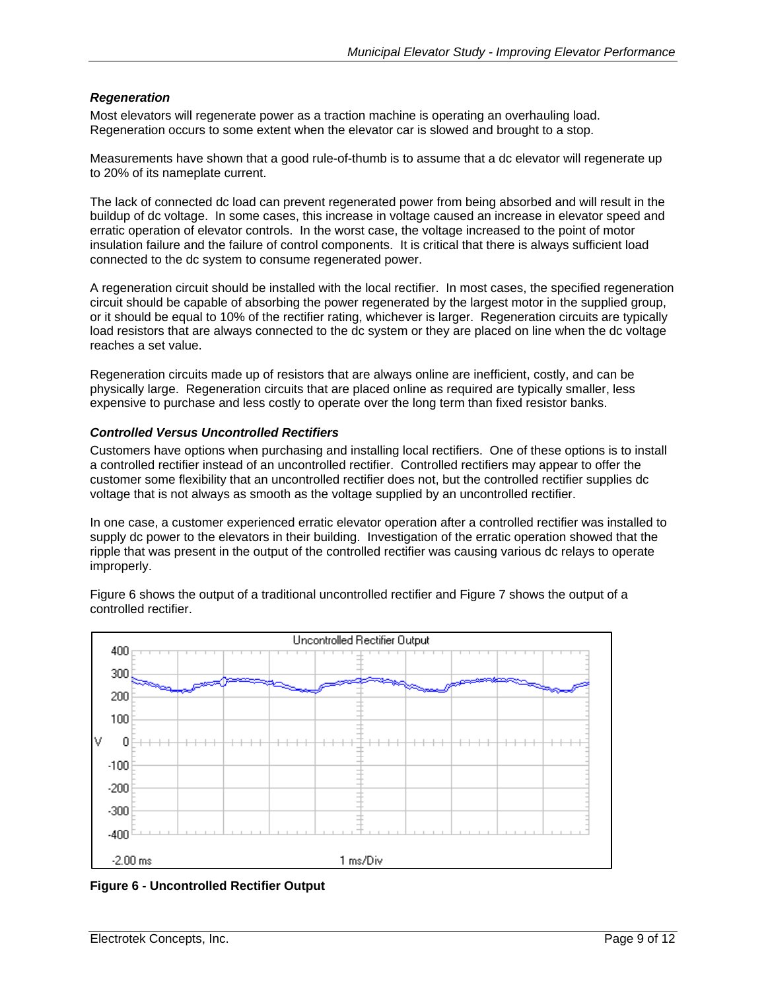#### <span id="page-8-0"></span>*Regeneration*

Most elevators will regenerate power as a traction machine is operating an overhauling load. Regeneration occurs to some extent when the elevator car is slowed and brought to a stop.

Measurements have shown that a good rule-of-thumb is to assume that a dc elevator will regenerate up to 20% of its nameplate current.

The lack of connected dc load can prevent regenerated power from being absorbed and will result in the buildup of dc voltage. In some cases, this increase in voltage caused an increase in elevator speed and erratic operation of elevator controls. In the worst case, the voltage increased to the point of motor insulation failure and the failure of control components. It is critical that there is always sufficient load connected to the dc system to consume regenerated power.

A regeneration circuit should be installed with the local rectifier. In most cases, the specified regeneration circuit should be capable of absorbing the power regenerated by the largest motor in the supplied group, or it should be equal to 10% of the rectifier rating, whichever is larger. Regeneration circuits are typically load resistors that are always connected to the dc system or they are placed on line when the dc voltage reaches a set value.

Regeneration circuits made up of resistors that are always online are inefficient, costly, and can be physically large. Regeneration circuits that are placed online as required are typically smaller, less expensive to purchase and less costly to operate over the long term than fixed resistor banks.

#### *Controlled Versus Uncontrolled Rectifiers*

Customers have options when purchasing and installing local rectifiers. One of these options is to install a controlled rectifier instead of an uncontrolled rectifier. Controlled rectifiers may appear to offer the customer some flexibility that an uncontrolled rectifier does not, but the controlled rectifier supplies dc voltage that is not always as smooth as the voltage supplied by an uncontrolled rectifier.

In one case, a customer experienced erratic elevator operation after a controlled rectifier was installed to supply dc power to the elevators in their building. Investigation of the erratic operation showed that the ripple that was present in the output of the controlled rectifier was causing various dc relays to operate improperly.

[Figure 6](#page-8-1) shows the output of a traditional uncontrolled rectifier and [Figure 7](#page-9-1) shows the output of a controlled rectifier.

<span id="page-8-1"></span>

**Figure 6 - Uncontrolled Rectifier Output**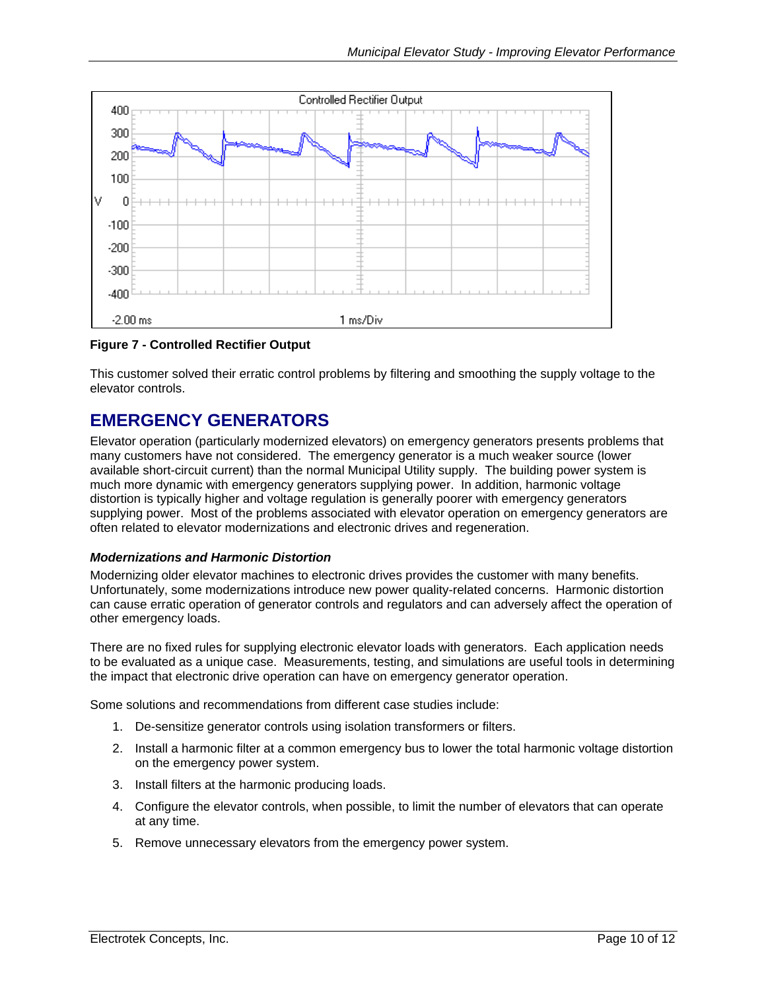<span id="page-9-1"></span><span id="page-9-0"></span>

#### **Figure 7 - Controlled Rectifier Output**

This customer solved their erratic control problems by filtering and smoothing the supply voltage to the elevator controls.

## **EMERGENCY GENERATORS**

Elevator operation (particularly modernized elevators) on emergency generators presents problems that many customers have not considered. The emergency generator is a much weaker source (lower available short-circuit current) than the normal Municipal Utility supply. The building power system is much more dynamic with emergency generators supplying power. In addition, harmonic voltage distortion is typically higher and voltage regulation is generally poorer with emergency generators supplying power. Most of the problems associated with elevator operation on emergency generators are often related to elevator modernizations and electronic drives and regeneration.

#### *Modernizations and Harmonic Distortion*

Modernizing older elevator machines to electronic drives provides the customer with many benefits. Unfortunately, some modernizations introduce new power quality-related concerns. Harmonic distortion can cause erratic operation of generator controls and regulators and can adversely affect the operation of other emergency loads.

There are no fixed rules for supplying electronic elevator loads with generators. Each application needs to be evaluated as a unique case. Measurements, testing, and simulations are useful tools in determining the impact that electronic drive operation can have on emergency generator operation.

Some solutions and recommendations from different case studies include:

- 1. De-sensitize generator controls using isolation transformers or filters.
- 2. Install a harmonic filter at a common emergency bus to lower the total harmonic voltage distortion on the emergency power system.
- 3. Install filters at the harmonic producing loads.
- 4. Configure the elevator controls, when possible, to limit the number of elevators that can operate at any time.
- 5. Remove unnecessary elevators from the emergency power system.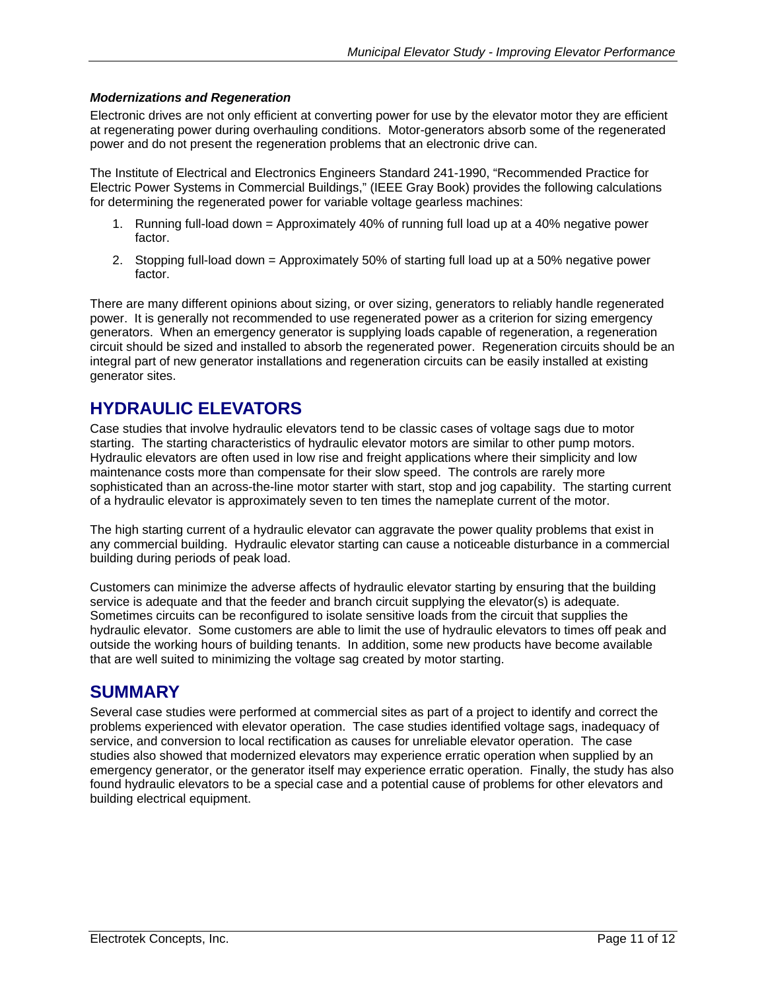#### <span id="page-10-0"></span>*Modernizations and Regeneration*

Electronic drives are not only efficient at converting power for use by the elevator motor they are efficient at regenerating power during overhauling conditions. Motor-generators absorb some of the regenerated power and do not present the regeneration problems that an electronic drive can.

The Institute of Electrical and Electronics Engineers Standard 241-1990, "Recommended Practice for Electric Power Systems in Commercial Buildings," (IEEE Gray Book) provides the following calculations for determining the regenerated power for variable voltage gearless machines:

- 1. Running full-load down = Approximately 40% of running full load up at a 40% negative power factor.
- 2. Stopping full-load down = Approximately 50% of starting full load up at a 50% negative power factor.

There are many different opinions about sizing, or over sizing, generators to reliably handle regenerated power. It is generally not recommended to use regenerated power as a criterion for sizing emergency generators. When an emergency generator is supplying loads capable of regeneration, a regeneration circuit should be sized and installed to absorb the regenerated power. Regeneration circuits should be an integral part of new generator installations and regeneration circuits can be easily installed at existing generator sites.

## **HYDRAULIC ELEVATORS**

Case studies that involve hydraulic elevators tend to be classic cases of voltage sags due to motor starting. The starting characteristics of hydraulic elevator motors are similar to other pump motors. Hydraulic elevators are often used in low rise and freight applications where their simplicity and low maintenance costs more than compensate for their slow speed. The controls are rarely more sophisticated than an across-the-line motor starter with start, stop and jog capability. The starting current of a hydraulic elevator is approximately seven to ten times the nameplate current of the motor.

The high starting current of a hydraulic elevator can aggravate the power quality problems that exist in any commercial building. Hydraulic elevator starting can cause a noticeable disturbance in a commercial building during periods of peak load.

Customers can minimize the adverse affects of hydraulic elevator starting by ensuring that the building service is adequate and that the feeder and branch circuit supplying the elevator(s) is adequate. Sometimes circuits can be reconfigured to isolate sensitive loads from the circuit that supplies the hydraulic elevator. Some customers are able to limit the use of hydraulic elevators to times off peak and outside the working hours of building tenants. In addition, some new products have become available that are well suited to minimizing the voltage sag created by motor starting.

## **SUMMARY**

Several case studies were performed at commercial sites as part of a project to identify and correct the problems experienced with elevator operation. The case studies identified voltage sags, inadequacy of service, and conversion to local rectification as causes for unreliable elevator operation. The case studies also showed that modernized elevators may experience erratic operation when supplied by an emergency generator, or the generator itself may experience erratic operation. Finally, the study has also found hydraulic elevators to be a special case and a potential cause of problems for other elevators and building electrical equipment.